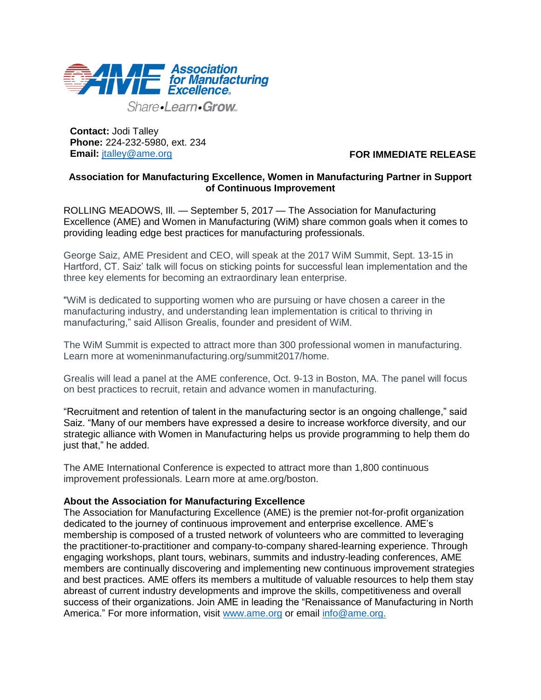

Share-Learn-Grow

**Contact:** Jodi Talley **Phone:** 224-232-5980, ext. 234 **Email:** [jtalley@ame.org](mailto:jtalley@ame.org)

 **FOR IMMEDIATE RELEASE**

## **Association for Manufacturing Excellence, Women in Manufacturing Partner in Support of Continuous Improvement**

ROLLING MEADOWS, Ill. — September 5, 2017 — The Association for Manufacturing Excellence (AME) and Women in Manufacturing (WiM) share common goals when it comes to providing leading edge best practices for manufacturing professionals.

George Saiz, AME President and CEO, will speak at the 2017 WiM Summit, Sept. 13-15 in Hartford, CT. Saiz' talk will focus on sticking points for successful lean implementation and the three key elements for becoming an extraordinary lean enterprise.

"WiM is dedicated to supporting women who are pursuing or have chosen a career in the manufacturing industry, and understanding lean implementation is critical to thriving in manufacturing," said Allison Grealis, founder and president of WiM.

The WiM Summit is expected to attract more than 300 professional women in manufacturing. Learn more at womeninmanufacturing.org/summit2017/home.

Grealis will lead a panel at the AME conference, Oct. 9-13 in Boston, MA. The panel will focus on best practices to recruit, retain and advance women in manufacturing.

"Recruitment and retention of talent in the manufacturing sector is an ongoing challenge," said Saiz. "Many of our members have expressed a desire to increase workforce diversity, and our strategic alliance with Women in Manufacturing helps us provide programming to help them do just that," he added.

The AME International Conference is expected to attract more than 1,800 continuous improvement professionals. Learn more at ame.org/boston.

## **About the Association for Manufacturing Excellence**

The Association for Manufacturing Excellence (AME) is the premier not-for-profit organization dedicated to the journey of continuous improvement and enterprise excellence. AME's membership is composed of a trusted network of volunteers who are committed to leveraging the practitioner-to-practitioner and company-to-company shared-learning experience. Through engaging workshops, plant tours, webinars, summits and industry-leading conferences, AME members are continually discovering and implementing new continuous improvement strategies and best practices. AME offers its members a multitude of valuable resources to help them stay abreast of current industry developments and improve the skills, competitiveness and overall success of their organizations. Join AME in leading the "Renaissance of Manufacturing in North America." For more information, visit [www.ame.org](http://www.ame.org/) or email [info@ame.org.](mailto:info@ame.org)